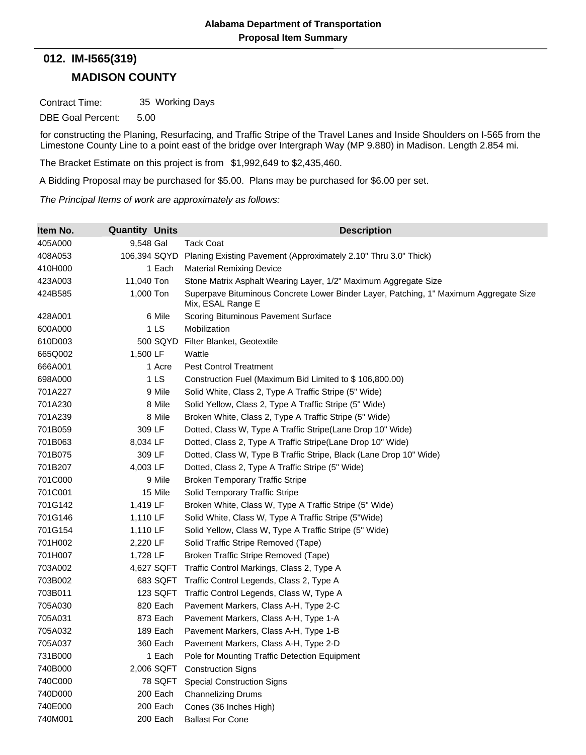## **MADISON COUNTY 012. IM-I565(319)**

Contract Time: 35 Working Days

DBE Goal Percent: 5.00

for constructing the Planing, Resurfacing, and Traffic Stripe of the Travel Lanes and Inside Shoulders on I-565 from the Limestone County Line to a point east of the bridge over Intergraph Way (MP 9.880) in Madison. Length 2.854 mi.

The Bracket Estimate on this project is from \$1,992,649 to \$2,435,460.

A Bidding Proposal may be purchased for \$5.00. Plans may be purchased for \$6.00 per set.

*The Principal Items of work are approximately as follows:*

| Item No. | <b>Quantity Units</b> | <b>Description</b>                                                                                         |
|----------|-----------------------|------------------------------------------------------------------------------------------------------------|
| 405A000  | 9,548 Gal             | <b>Tack Coat</b>                                                                                           |
| 408A053  | 106,394 SQYD          | Planing Existing Pavement (Approximately 2.10" Thru 3.0" Thick)                                            |
| 410H000  | 1 Each                | <b>Material Remixing Device</b>                                                                            |
| 423A003  | 11,040 Ton            | Stone Matrix Asphalt Wearing Layer, 1/2" Maximum Aggregate Size                                            |
| 424B585  | 1,000 Ton             | Superpave Bituminous Concrete Lower Binder Layer, Patching, 1" Maximum Aggregate Size<br>Mix, ESAL Range E |
| 428A001  | 6 Mile                | Scoring Bituminous Pavement Surface                                                                        |
| 600A000  | 1 <sub>LS</sub>       | Mobilization                                                                                               |
| 610D003  | 500 SQYD              | Filter Blanket, Geotextile                                                                                 |
| 665Q002  | 1,500 LF              | Wattle                                                                                                     |
| 666A001  | 1 Acre                | <b>Pest Control Treatment</b>                                                                              |
| 698A000  | 1 <sub>LS</sub>       | Construction Fuel (Maximum Bid Limited to \$106,800.00)                                                    |
| 701A227  | 9 Mile                | Solid White, Class 2, Type A Traffic Stripe (5" Wide)                                                      |
| 701A230  | 8 Mile                | Solid Yellow, Class 2, Type A Traffic Stripe (5" Wide)                                                     |
| 701A239  | 8 Mile                | Broken White, Class 2, Type A Traffic Stripe (5" Wide)                                                     |
| 701B059  | 309 LF                | Dotted, Class W, Type A Traffic Stripe(Lane Drop 10" Wide)                                                 |
| 701B063  | 8,034 LF              | Dotted, Class 2, Type A Traffic Stripe(Lane Drop 10" Wide)                                                 |
| 701B075  | 309 LF                | Dotted, Class W, Type B Traffic Stripe, Black (Lane Drop 10" Wide)                                         |
| 701B207  | 4,003 LF              | Dotted, Class 2, Type A Traffic Stripe (5" Wide)                                                           |
| 701C000  | 9 Mile                | <b>Broken Temporary Traffic Stripe</b>                                                                     |
| 701C001  | 15 Mile               | Solid Temporary Traffic Stripe                                                                             |
| 701G142  | 1,419 LF              | Broken White, Class W, Type A Traffic Stripe (5" Wide)                                                     |
| 701G146  | 1,110 LF              | Solid White, Class W, Type A Traffic Stripe (5"Wide)                                                       |
| 701G154  | 1,110 LF              | Solid Yellow, Class W, Type A Traffic Stripe (5" Wide)                                                     |
| 701H002  | 2,220 LF              | Solid Traffic Stripe Removed (Tape)                                                                        |
| 701H007  | 1,728 LF              | Broken Traffic Stripe Removed (Tape)                                                                       |
| 703A002  | 4,627 SQFT            | Traffic Control Markings, Class 2, Type A                                                                  |
| 703B002  | 683 SQFT              | Traffic Control Legends, Class 2, Type A                                                                   |
| 703B011  | 123 SQFT              | Traffic Control Legends, Class W, Type A                                                                   |
| 705A030  | 820 Each              | Pavement Markers, Class A-H, Type 2-C                                                                      |
| 705A031  | 873 Each              | Pavement Markers, Class A-H, Type 1-A                                                                      |
| 705A032  | 189 Each              | Pavement Markers, Class A-H, Type 1-B                                                                      |
| 705A037  | 360 Each              | Pavement Markers, Class A-H, Type 2-D                                                                      |
| 731B000  | 1 Each                | Pole for Mounting Traffic Detection Equipment                                                              |
| 740B000  | 2,006 SQFT            | <b>Construction Signs</b>                                                                                  |
| 740C000  | 78 SQFT               | <b>Special Construction Signs</b>                                                                          |
| 740D000  | 200 Each              | <b>Channelizing Drums</b>                                                                                  |
| 740E000  | 200 Each              | Cones (36 Inches High)                                                                                     |
| 740M001  | 200 Each              | <b>Ballast For Cone</b>                                                                                    |